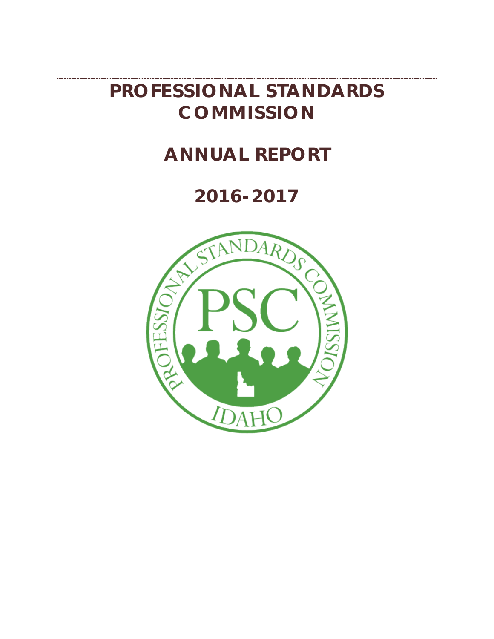# **PROFESSIONAL STANDARDS COMMISSION**

# **ANNUAL REPORT**

# **2016-2017**

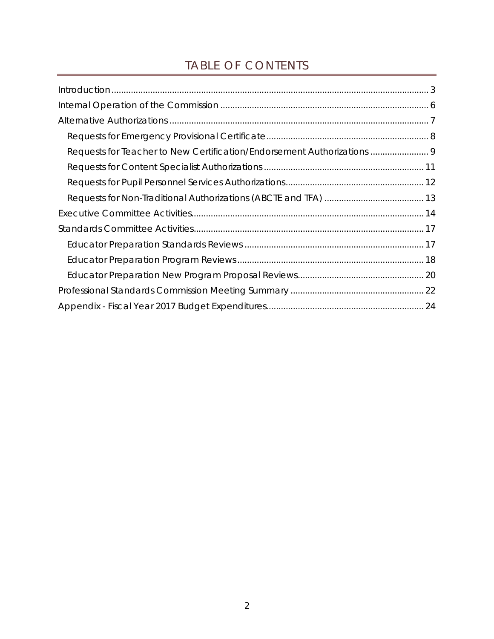# TABLE OF CONTENTS

| Requests for Teacher to New Certification/Endorsement Authorizations  9 |  |
|-------------------------------------------------------------------------|--|
|                                                                         |  |
|                                                                         |  |
|                                                                         |  |
|                                                                         |  |
|                                                                         |  |
|                                                                         |  |
|                                                                         |  |
|                                                                         |  |
|                                                                         |  |
|                                                                         |  |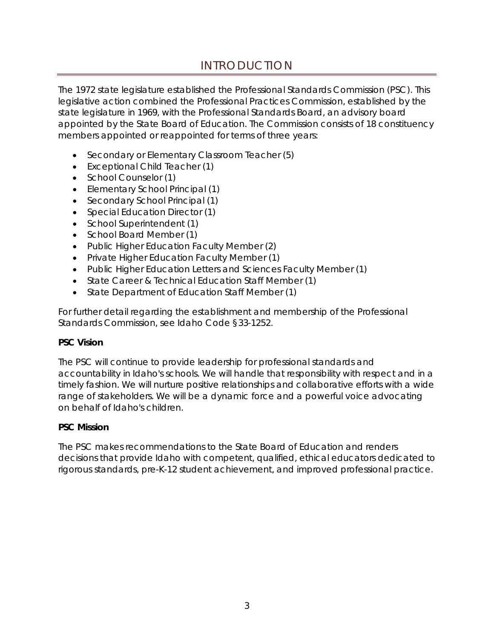## INTRODUCTION

<span id="page-2-0"></span>The 1972 state legislature established the Professional Standards Commission (PSC). This legislative action combined the Professional Practices Commission, established by the state legislature in 1969, with the Professional Standards Board, an advisory board appointed by the State Board of Education. The Commission consists of 18 constituency members appointed or reappointed for terms of three years:

- Secondary or Elementary Classroom Teacher (5)
- Exceptional Child Teacher (1)
- School Counselor (1)
- Elementary School Principal (1)
- Secondary School Principal (1)
- Special Education Director (1)
- School Superintendent (1)
- School Board Member (1)
- Public Higher Education Faculty Member (2)
- Private Higher Education Faculty Member (1)
- Public Higher Education Letters and Sciences Faculty Member (1)
- State Career & Technical Education Staff Member (1)
- State Department of Education Staff Member (1)

For further detail regarding the establishment and membership of the Professional Standards Commission, see Idaho Code §33-1252.

#### *PSC Vision*

The PSC will continue to provide leadership for professional standards and accountability in Idaho's schools. We will handle that responsibility with respect and in a timely fashion. We will nurture positive relationships and collaborative efforts with a wide range of stakeholders. We will be a dynamic force and a powerful voice advocating on behalf of Idaho's children.

#### *PSC Mission*

The PSC makes recommendations to the State Board of Education and renders decisions that provide Idaho with competent, qualified, ethical educators dedicated to rigorous standards, pre-K-12 student achievement, and improved professional practice.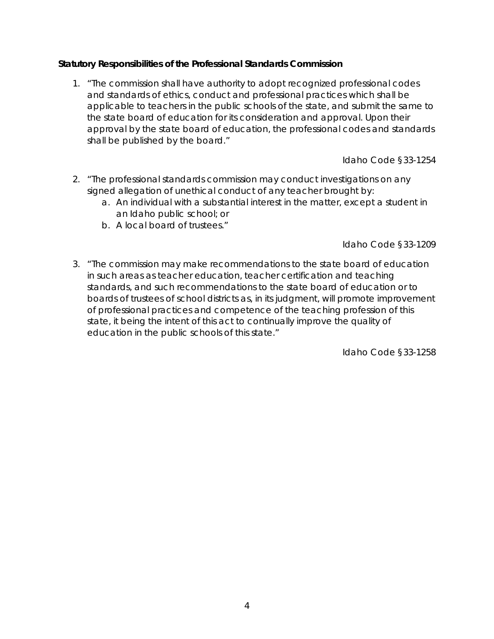#### *Statutory Responsibilities of the Professional Standards Commission*

1. "The commission shall have authority to adopt recognized professional codes and standards of ethics, conduct and professional practices which shall be applicable to teachers in the public schools of the state, and submit the same to the state board of education for its consideration and approval. Upon their approval by the state board of education, the professional codes and standards shall be published by the board."

Idaho Code §33-1254

- 2. "The professional standards commission may conduct investigations on any signed allegation of unethical conduct of any teacher brought by:
	- a. An individual with a substantial interest in the matter, except a student in an Idaho public school; or
	- b. A local board of trustees."

Idaho Code §33-1209

3. "The commission may make recommendations to the state board of education in such areas as teacher education, teacher certification and teaching standards, and such recommendations to the state board of education or to boards of trustees of school districts as, in its judgment, will promote improvement of professional practices and competence of the teaching profession of this state, it being the intent of this act to continually improve the quality of education in the public schools of this state."

Idaho Code §33-1258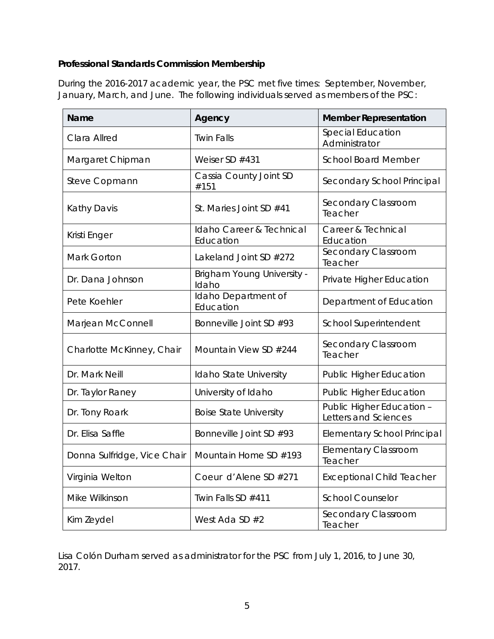## *Professional Standards Commission Membership*

During the 2016-2017 academic year, the PSC met five times: September, November, January, March, and June. The following individuals served as members of the PSC:

| Name                        | Agency                                     | <b>Member Representation</b>                      |  |
|-----------------------------|--------------------------------------------|---------------------------------------------------|--|
| Clara Allred                | <b>Twin Falls</b>                          | Special Education<br>Administrator                |  |
| Margaret Chipman            | Weiser SD #431                             | <b>School Board Member</b>                        |  |
| Steve Copmann               | Cassia County Joint SD<br>#151             | Secondary School Principal                        |  |
| Kathy Davis                 | St. Maries Joint SD #41                    | Secondary Classroom<br>Teacher                    |  |
| Kristi Enger                | Idaho Career & Technical<br>Education      | Career & Technical<br>Education                   |  |
| Mark Gorton                 | Lakeland Joint SD #272                     | Secondary Classroom<br>Teacher                    |  |
| Dr. Dana Johnson            | <b>Brigham Young University -</b><br>Idaho | Private Higher Education                          |  |
| Pete Koehler                | Idaho Department of<br>Education           | Department of Education                           |  |
| Marjean McConnell           | Bonneville Joint SD #93                    | School Superintendent                             |  |
| Charlotte McKinney, Chair   | Mountain View SD #244                      | Secondary Classroom<br>Teacher                    |  |
| Dr. Mark Neill              | Idaho State University                     | <b>Public Higher Education</b>                    |  |
| Dr. Taylor Raney            | University of Idaho                        | <b>Public Higher Education</b>                    |  |
| Dr. Tony Roark              | <b>Boise State University</b>              | Public Higher Education -<br>Letters and Sciences |  |
| Dr. Elisa Saffle            | Bonneville Joint SD #93                    | <b>Elementary School Principal</b>                |  |
| Donna Sulfridge, Vice Chair | Mountain Home SD #193                      | <b>Elementary Classroom</b><br>Teacher            |  |
| Virginia Welton             | Coeur d'Alene SD #271                      | <b>Exceptional Child Teacher</b>                  |  |
| Mike Wilkinson              | Twin Falls SD #411                         | <b>School Counselor</b>                           |  |
| Kim Zeydel                  | West Ada SD $#2$                           | Secondary Classroom<br>Teacher                    |  |

Lisa Colón Durham served as administrator for the PSC from July 1, 2016, to June 30, 2017.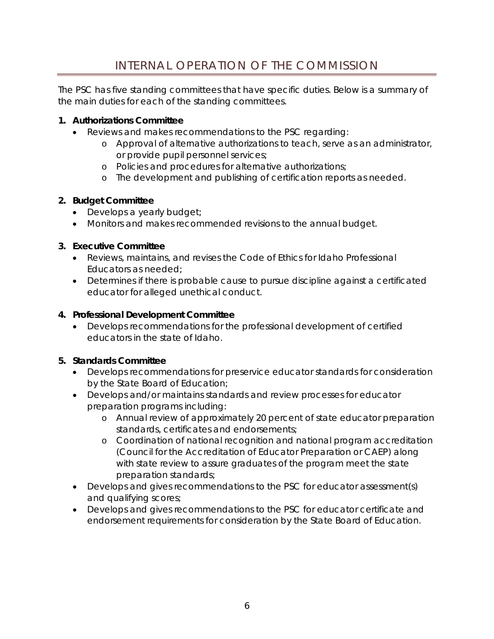# INTERNAL OPERATION OF THE COMMISSION

<span id="page-5-0"></span>The PSC has five standing committees that have specific duties. Below is a summary of the main duties for each of the standing committees.

### **1. Authorizations Committee**

- Reviews and makes recommendations to the PSC regarding:
	- o Approval of alternative authorizations to teach, serve as an administrator, or provide pupil personnel services;
	- o Policies and procedures for alternative authorizations;
	- o The development and publishing of certification reports as needed.

## **2. Budget Committee**

- Develops a yearly budget;
- Monitors and makes recommended revisions to the annual budget.

## **3. Executive Committee**

- Reviews, maintains, and revises the Code of Ethics for Idaho Professional Educators as needed;
- Determines if there is probable cause to pursue discipline against a certificated educator for alleged unethical conduct.

## **4. Professional Development Committee**

• Develops recommendations for the professional development of certified educators in the state of Idaho.

#### **5. Standards Committee**

- Develops recommendations for preservice educator standards for consideration by the State Board of Education;
- Develops and/or maintains standards and review processes for educator preparation programs including:
	- o Annual review of approximately 20 percent of state educator preparation standards, certificates and endorsements;
	- o Coordination of national recognition and national program accreditation (Council for the Accreditation of Educator Preparation or CAEP) along with state review to assure graduates of the program meet the state preparation standards;
- Develops and gives recommendations to the PSC for educator assessment(s) and qualifying scores;
- Develops and gives recommendations to the PSC for educator certificate and endorsement requirements for consideration by the State Board of Education.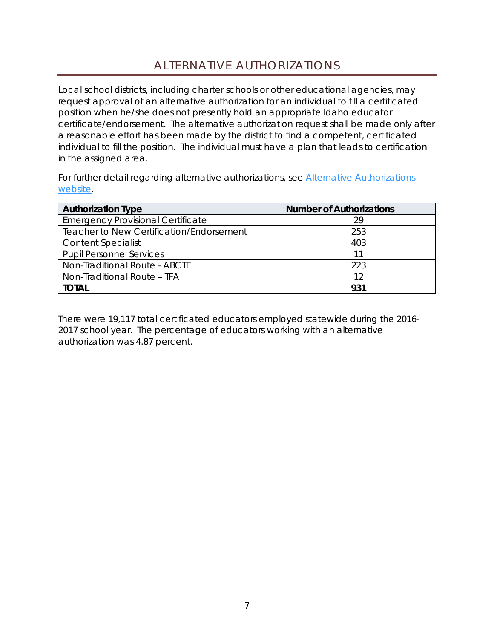## ALTERNATIVE AUTHORIZATIONS

<span id="page-6-0"></span>Local school districts, including charter schools or other educational agencies, may request approval of an alternative authorization for an individual to fill a certificated position when he/she does not presently hold an appropriate Idaho educator certificate/endorsement. The alternative authorization request shall be made only after a reasonable effort has been made by the district to find a competent, certificated individual to fill the position. The individual must have a plan that leads to certification in the assigned area.

For further detail regarding alternative authorizations, see Alternative Authorizations [website.](http://www.sde.idaho.gov/cert-psc/cert/apply/alt-auth.html)

| <b>Authorization Type</b>                       | <b>Number of Authorizations</b> |  |
|-------------------------------------------------|---------------------------------|--|
| <b>Emergency Provisional Certificate</b>        | 29                              |  |
| <b>Teacher to New Certification/Endorsement</b> | 253                             |  |
| <b>Content Specialist</b>                       | 403                             |  |
| <b>Pupil Personnel Services</b>                 |                                 |  |
| Non-Traditional Route - ABCTE                   | 223                             |  |
| Non-Traditional Route - TFA                     | 12                              |  |
| <b>TOTAL</b>                                    | 931                             |  |

There were 19,117 total certificated educators employed statewide during the 2016- 2017 school year. The percentage of educators working with an alternative authorization was 4.87 percent.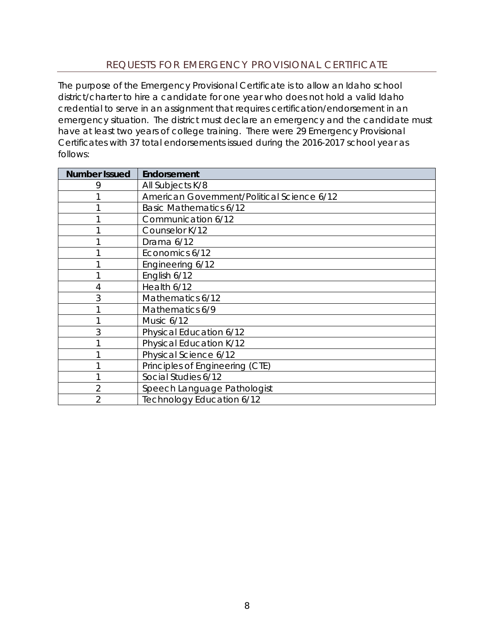## REQUESTS FOR EMERGENCY PROVISIONAL CERTIFICATE

<span id="page-7-0"></span>The purpose of the Emergency Provisional Certificate is to allow an Idaho school district/charter to hire a candidate for one year who does not hold a valid Idaho credential to serve in an assignment that requires certification/endorsement in an emergency situation. The district must declare an emergency and the candidate must have at least two years of college training. There were 29 Emergency Provisional Certificates with 37 total endorsements issued during the 2016-2017 school year as follows:

| <b>Number Issued</b> | Endorsement                                |
|----------------------|--------------------------------------------|
| 9                    | All Subjects K/8                           |
|                      | American Government/Political Science 6/12 |
|                      | <b>Basic Mathematics 6/12</b>              |
|                      | Communication 6/12                         |
|                      | Counselor K/12                             |
|                      | Drama 6/12                                 |
|                      | Economics 6/12                             |
|                      | Engineering 6/12                           |
|                      | English 6/12                               |
| 4                    | Health 6/12                                |
| 3                    | Mathematics 6/12                           |
|                      | Mathematics 6/9                            |
|                      | Music 6/12                                 |
| 3                    | Physical Education 6/12                    |
|                      | Physical Education K/12                    |
|                      | Physical Science 6/12                      |
|                      | Principles of Engineering (CTE)            |
|                      | Social Studies 6/12                        |
| 2                    | Speech Language Pathologist                |
|                      | Technology Education 6/12                  |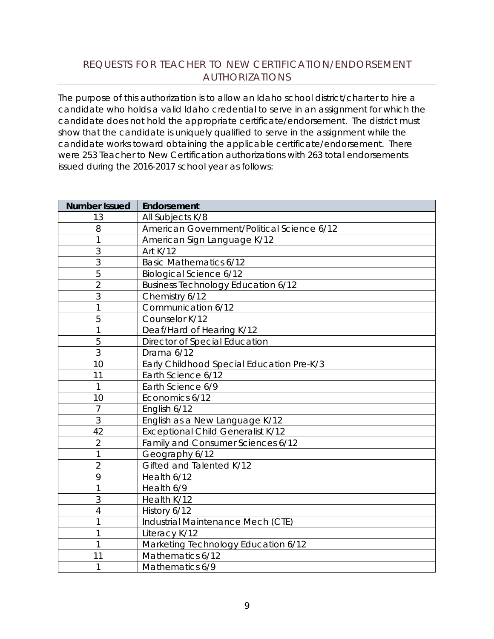## <span id="page-8-0"></span>REQUESTS FOR TEACHER TO NEW CERTIFICATION/ENDORSEMENT AUTHORIZATIONS

The purpose of this authorization is to allow an Idaho school district/charter to hire a candidate who holds a valid Idaho credential to serve in an assignment for which the candidate does not hold the appropriate certificate/endorsement. The district must show that the candidate is uniquely qualified to serve in the assignment while the candidate works toward obtaining the applicable certificate/endorsement. There were 253 Teacher to New Certification authorizations with 263 total endorsements issued during the 2016-2017 school year as follows:

| <b>Number Issued</b> | Endorsement                                |
|----------------------|--------------------------------------------|
| 13                   | All Subjects K/8                           |
| 8                    | American Government/Political Science 6/12 |
| 1                    | American Sign Language K/12                |
| 3                    | Art K/12                                   |
| 3                    | <b>Basic Mathematics 6/12</b>              |
| 5                    | <b>Biological Science 6/12</b>             |
| $\overline{2}$       | <b>Business Technology Education 6/12</b>  |
| 3                    | Chemistry 6/12                             |
| 1                    | Communication 6/12                         |
| 5                    | Counselor K/12                             |
| 1                    | Deaf/Hard of Hearing K/12                  |
| 5                    | Director of Special Education              |
| 3                    | Drama 6/12                                 |
| 10                   | Early Childhood Special Education Pre-K/3  |
| 11                   | Earth Science 6/12                         |
| 1                    | Earth Science 6/9                          |
| 10                   | Economics 6/12                             |
| $\overline{7}$       | English 6/12                               |
| 3                    | English as a New Language K/12             |
| 42                   | <b>Exceptional Child Generalist K/12</b>   |
| $\overline{2}$       | Family and Consumer Sciences 6/12          |
| 1                    | Geography 6/12                             |
| $\overline{2}$       | Gifted and Talented K/12                   |
| 9                    | Health 6/12                                |
| 1                    | Health 6/9                                 |
| 3                    | Health K/12                                |
| 4                    | History 6/12                               |
|                      | Industrial Maintenance Mech (CTE)          |
| 1                    | Literacy K/12                              |
| 1                    | Marketing Technology Education 6/12        |
| 11                   | Mathematics 6/12                           |
| 1                    | Mathematics 6/9                            |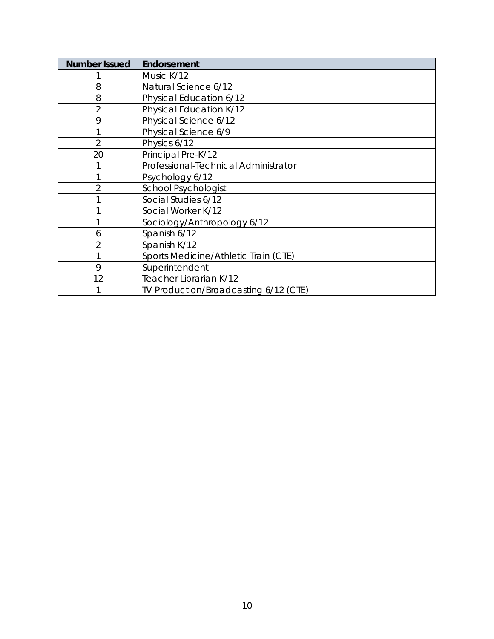| <b>Number Issued</b> | Endorsement                           |
|----------------------|---------------------------------------|
|                      | Music K/12                            |
| 8                    | Natural Science 6/12                  |
| 8                    | Physical Education 6/12               |
| $\overline{2}$       | Physical Education K/12               |
| 9                    | Physical Science 6/12                 |
|                      | Physical Science 6/9                  |
| $\overline{2}$       | Physics 6/12                          |
| 20                   | Principal Pre-K/12                    |
|                      | Professional-Technical Administrator  |
|                      | Psychology 6/12                       |
| $\overline{2}$       | <b>School Psychologist</b>            |
|                      | Social Studies 6/12                   |
|                      | Social Worker K/12                    |
|                      | Sociology/Anthropology 6/12           |
| 6                    | Spanish 6/12                          |
| $\overline{2}$       | Spanish K/12                          |
|                      | Sports Medicine/Athletic Train (CTE)  |
| 9                    | Superintendent                        |
| 12                   | Teacher Librarian K/12                |
|                      | TV Production/Broadcasting 6/12 (CTE) |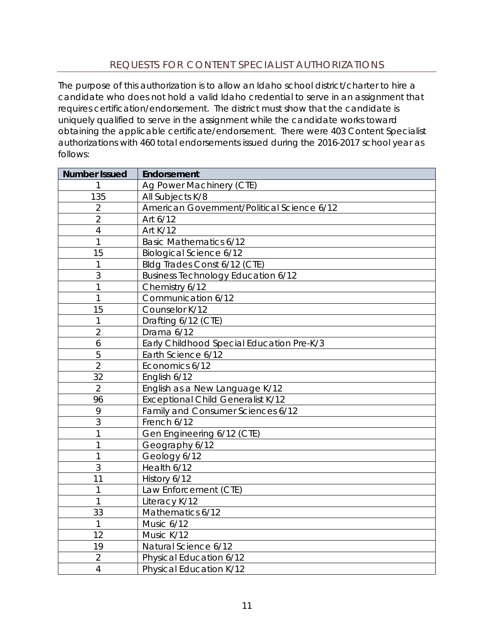## REQUESTS FOR CONTENT SPECIALIST AUTHORIZATIONS

<span id="page-10-0"></span>The purpose of this authorization is to allow an Idaho school district/charter to hire a candidate who does not hold a valid Idaho credential to serve in an assignment that requires certification/endorsement. The district must show that the candidate is uniquely qualified to serve in the assignment while the candidate works toward obtaining the applicable certificate/endorsement. There were 403 Content Specialist authorizations with 460 total endorsements issued during the 2016-2017 school year as follows:

| <b>Number Issued</b> | Endorsement                                |
|----------------------|--------------------------------------------|
|                      | Ag Power Machinery (CTE)                   |
| 135                  | All Subjects K/8                           |
| $\overline{2}$       | American Government/Political Science 6/12 |
| $\overline{2}$       | Art 6/12                                   |
| 4                    | Art K/12                                   |
| 1                    | <b>Basic Mathematics 6/12</b>              |
| 15                   | <b>Biological Science 6/12</b>             |
| 1                    | Bldg Trades Const 6/12 (CTE)               |
| 3                    | <b>Business Technology Education 6/12</b>  |
| 1                    | Chemistry 6/12                             |
| 1                    | Communication 6/12                         |
| 15                   | Counselor K/12                             |
| 1                    | Drafting 6/12 (CTE)                        |
| $\overline{2}$       | Drama 6/12                                 |
| 6                    | Early Childhood Special Education Pre-K/3  |
| 5                    | Earth Science 6/12                         |
| $\overline{2}$       | Economics 6/12                             |
| 32                   | English 6/12                               |
| $\overline{2}$       | English as a New Language K/12             |
| 96                   | <b>Exceptional Child Generalist K/12</b>   |
| 9                    | Family and Consumer Sciences 6/12          |
| 3                    | French 6/12                                |
| 1                    | Gen Engineering 6/12 (CTE)                 |
| 1                    | Geography 6/12                             |
| 1                    | Geology 6/12                               |
| 3                    | Health 6/12                                |
| 11                   | History 6/12                               |
| 1                    | Law Enforcement (CTE)                      |
| 1                    | Literacy K/12                              |
| 33                   | Mathematics 6/12                           |
| 1                    | Music 6/12                                 |
| 12                   | Music K/12                                 |
| 19                   | Natural Science 6/12                       |
| $\overline{2}$       | Physical Education 6/12                    |
| $\overline{4}$       | Physical Education K/12                    |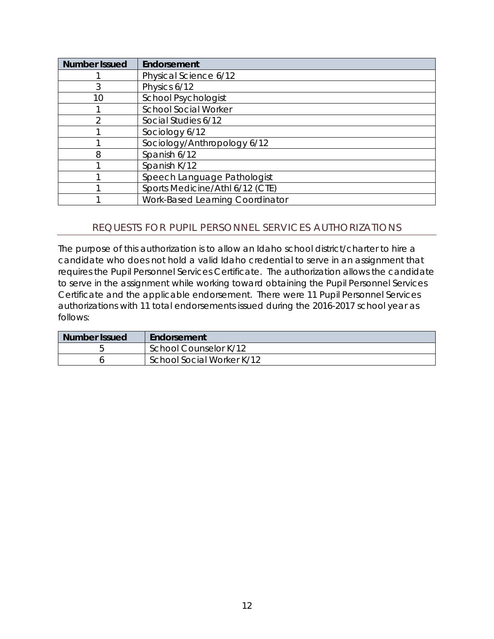| <b>Number Issued</b> | Endorsement                     |
|----------------------|---------------------------------|
|                      | Physical Science 6/12           |
| 3                    | Physics 6/12                    |
| 10                   | <b>School Psychologist</b>      |
|                      | <b>School Social Worker</b>     |
| ኅ                    | Social Studies 6/12             |
|                      | Sociology 6/12                  |
|                      | Sociology/Anthropology 6/12     |
| 8                    | Spanish 6/12                    |
|                      | Spanish K/12                    |
|                      | Speech Language Pathologist     |
|                      | Sports Medicine/Athl 6/12 (CTE) |
|                      | Work-Based Learning Coordinator |

## <span id="page-11-0"></span>REQUESTS FOR PUPIL PERSONNEL SERVICES AUTHORIZATIONS

The purpose of this authorization is to allow an Idaho school district/charter to hire a candidate who does not hold a valid Idaho credential to serve in an assignment that requires the Pupil Personnel Services Certificate. The authorization allows the candidate to serve in the assignment while working toward obtaining the Pupil Personnel Services Certificate and the applicable endorsement. There were 11 Pupil Personnel Services authorizations with 11 total endorsements issued during the 2016-2017 school year as follows:

| <b>Number Issued</b> | Endorsement               |
|----------------------|---------------------------|
|                      | School Counselor K/12     |
|                      | School Social Worker K/12 |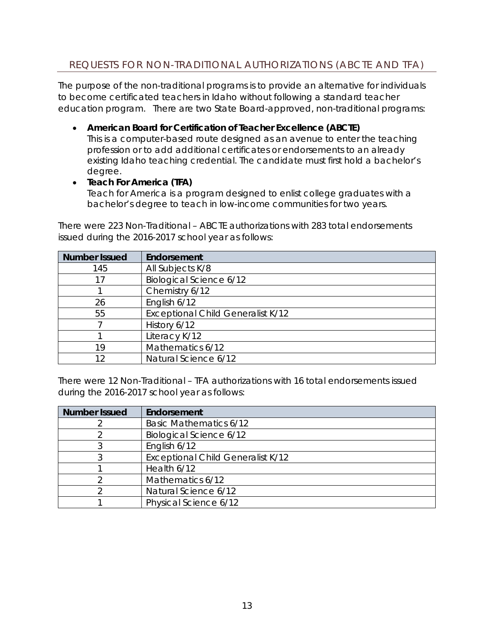## <span id="page-12-0"></span>REQUESTS FOR NON-TRADITIONAL AUTHORIZATIONS (ABCTE AND TFA)

The purpose of the non-traditional programs is to provide an alternative for individuals to become certificated teachers in Idaho without following a standard teacher education program. There are two State Board-approved, non-traditional programs:

• **American Board for Certification of Teacher Excellence (ABCTE)**

This is a computer-based route designed as an avenue to enter the teaching profession or to add additional certificates or endorsements to an already existing Idaho teaching credential. The candidate must first hold a bachelor's degree.

#### • **Teach For America (TFA)**

Teach for America is a program designed to enlist college graduates with a bachelor's degree to teach in low-income communities for two years.

| <b>Number Issued</b> | Endorsement                              |
|----------------------|------------------------------------------|
| 145                  | All Subjects K/8                         |
| 17                   | <b>Biological Science 6/12</b>           |
|                      | Chemistry 6/12                           |
| 26                   | English 6/12                             |
| 55                   | <b>Exceptional Child Generalist K/12</b> |
|                      | History 6/12                             |
|                      | Literacy K/12                            |
| 19                   | Mathematics 6/12                         |
| 12                   | Natural Science 6/12                     |

There were 223 Non-Traditional – ABCTE authorizations with 283 total endorsements issued during the 2016-2017 school year as follows:

There were 12 Non-Traditional – TFA authorizations with 16 total endorsements issued during the 2016-2017 school year as follows:

| <b>Number Issued</b> | Endorsement                              |
|----------------------|------------------------------------------|
|                      | <b>Basic Mathematics 6/12</b>            |
|                      | Biological Science 6/12                  |
|                      | English 6/12                             |
|                      | <b>Exceptional Child Generalist K/12</b> |
|                      | Health 6/12                              |
|                      | Mathematics 6/12                         |
|                      | Natural Science 6/12                     |
|                      | Physical Science 6/12                    |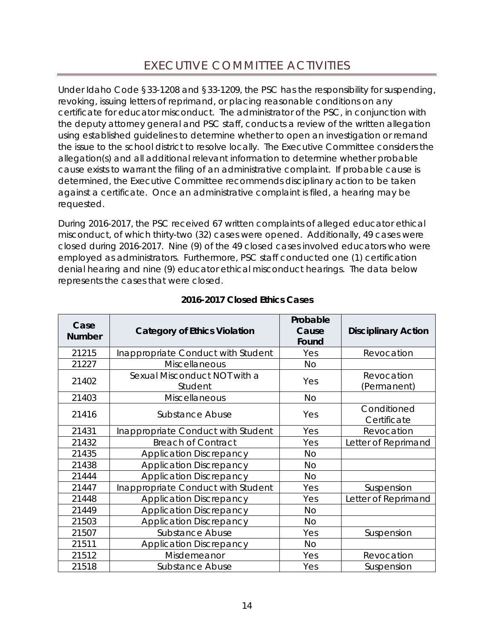<span id="page-13-0"></span>Under Idaho Code §33-1208 and §33-1209, the PSC has the responsibility for suspending, revoking, issuing letters of reprimand, or placing reasonable conditions on any certificate for educator misconduct. The administrator of the PSC, in conjunction with the deputy attorney general and PSC staff, conducts a review of the written allegation using established guidelines to determine whether to open an investigation or remand the issue to the school district to resolve locally. The Executive Committee considers the allegation(s) and all additional relevant information to determine whether probable cause exists to warrant the filing of an administrative complaint. If probable cause is determined, the Executive Committee recommends disciplinary action to be taken against a certificate. Once an administrative complaint is filed, a hearing may be requested.

During 2016-2017, the PSC received 67 written complaints of alleged educator ethical misconduct, of which thirty-two (32) cases were opened. Additionally, 49 cases were closed during 2016-2017. Nine (9) of the 49 closed cases involved educators who were employed as administrators. Furthermore, PSC staff conducted one (1) certification denial hearing and nine (9) educator ethical misconduct hearings. The data below represents the cases that were closed.

| Case<br><b>Number</b> | <b>Category of Ethics Violation</b>     | Probable<br>Cause<br>Found | <b>Disciplinary Action</b> |
|-----------------------|-----------------------------------------|----------------------------|----------------------------|
| 21215                 | Inappropriate Conduct with Student      | Yes                        | Revocation                 |
| 21227                 | Miscellaneous                           | No                         |                            |
| 21402                 | Sexual Misconduct NOT with a<br>Student | Yes                        | Revocation<br>(Permanent)  |
| 21403                 | Miscellaneous                           | <b>No</b>                  |                            |
| 21416                 | Substance Abuse                         | Yes                        | Conditioned<br>Certificate |
| 21431                 | Inappropriate Conduct with Student      | Yes                        | Revocation                 |
| 21432                 | <b>Breach of Contract</b>               | Yes                        | Letter of Reprimand        |
| 21435                 | <b>Application Discrepancy</b>          | <b>No</b>                  |                            |
| 21438                 | <b>Application Discrepancy</b>          | <b>No</b>                  |                            |
| 21444                 | <b>Application Discrepancy</b>          | <b>No</b>                  |                            |
| 21447                 | Inappropriate Conduct with Student      | Yes                        | Suspension                 |
| 21448                 | <b>Application Discrepancy</b>          | Yes                        | Letter of Reprimand        |
| 21449                 | <b>Application Discrepancy</b>          | <b>No</b>                  |                            |
| 21503                 | <b>Application Discrepancy</b>          | <b>No</b>                  |                            |
| 21507                 | Substance Abuse                         | Yes                        | Suspension                 |
| 21511                 | <b>Application Discrepancy</b>          | <b>No</b>                  |                            |
| 21512                 | Misdemeanor                             | Yes                        | Revocation                 |
| 21518                 | Substance Abuse                         | Yes                        | Suspension                 |

## *2016-2017 Closed Ethics Cases*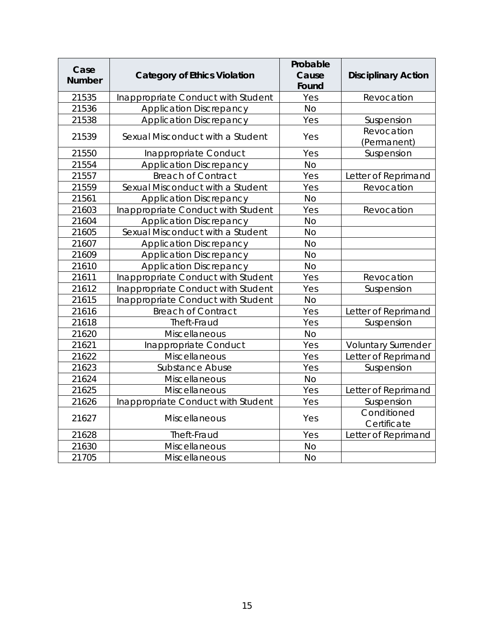| Case<br><b>Number</b> | <b>Category of Ethics Violation</b> | Probable<br>Cause<br>Found | <b>Disciplinary Action</b> |  |  |  |
|-----------------------|-------------------------------------|----------------------------|----------------------------|--|--|--|
| 21535                 | Inappropriate Conduct with Student  | Yes                        | Revocation                 |  |  |  |
| 21536                 | <b>Application Discrepancy</b>      | <b>No</b>                  |                            |  |  |  |
| 21538                 | <b>Application Discrepancy</b>      | Yes                        | Suspension                 |  |  |  |
| 21539                 | Sexual Misconduct with a Student    | Yes                        | Revocation<br>(Permanent)  |  |  |  |
| 21550                 | Inappropriate Conduct               | Yes                        | Suspension                 |  |  |  |
| 21554                 | <b>Application Discrepancy</b>      | <b>No</b>                  |                            |  |  |  |
| 21557                 | <b>Breach of Contract</b>           | Yes                        | Letter of Reprimand        |  |  |  |
| 21559                 | Sexual Misconduct with a Student    | Yes                        | Revocation                 |  |  |  |
| 21561                 | <b>Application Discrepancy</b>      | <b>No</b>                  |                            |  |  |  |
| 21603                 | Inappropriate Conduct with Student  | Yes                        | Revocation                 |  |  |  |
| 21604                 | <b>Application Discrepancy</b>      | <b>No</b>                  |                            |  |  |  |
| 21605                 | Sexual Misconduct with a Student    | <b>No</b>                  |                            |  |  |  |
| 21607                 | <b>Application Discrepancy</b>      | <b>No</b>                  |                            |  |  |  |
| 21609                 | <b>Application Discrepancy</b>      | <b>No</b>                  |                            |  |  |  |
| 21610                 | <b>Application Discrepancy</b>      | <b>No</b>                  |                            |  |  |  |
| 21611                 | Inappropriate Conduct with Student  | Yes                        | Revocation                 |  |  |  |
| 21612                 | Inappropriate Conduct with Student  | Yes                        | Suspension                 |  |  |  |
| 21615                 | Inappropriate Conduct with Student  | <b>No</b>                  |                            |  |  |  |
| 21616                 | <b>Breach of Contract</b>           | Yes                        | Letter of Reprimand        |  |  |  |
| 21618                 | Theft-Fraud                         | Yes                        | Suspension                 |  |  |  |
| 21620                 | Miscellaneous                       | <b>No</b>                  |                            |  |  |  |
| 21621                 | Inappropriate Conduct               | Yes                        | <b>Voluntary Surrender</b> |  |  |  |
| 21622                 | Miscellaneous                       | Yes                        | Letter of Reprimand        |  |  |  |
| 21623                 | <b>Substance Abuse</b>              | Yes                        | Suspension                 |  |  |  |
| 21624                 | Miscellaneous                       | <b>No</b>                  |                            |  |  |  |
| 21625                 | Miscellaneous                       | Yes                        | Letter of Reprimand        |  |  |  |
| 21626                 | Inappropriate Conduct with Student  | Yes                        | Suspension                 |  |  |  |
| 21627                 | Miscellaneous                       | Yes                        | Conditioned<br>Certificate |  |  |  |
| 21628                 | Theft-Fraud                         | Yes                        | Letter of Reprimand        |  |  |  |
| 21630                 | Miscellaneous                       | <b>No</b>                  |                            |  |  |  |
| 21705                 | Miscellaneous                       | <b>No</b>                  |                            |  |  |  |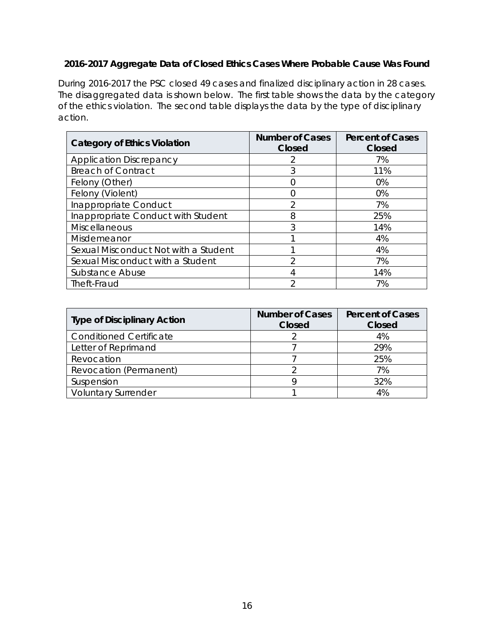## *2016-2017 Aggregate Data of Closed Ethics Cases Where Probable Cause Was Found*

During 2016-2017 the PSC closed 49 cases and finalized disciplinary action in 28 cases. The disaggregated data is shown below. The first table shows the data by the category of the ethics violation. The second table displays the data by the type of disciplinary action.

| <b>Category of Ethics Violation</b>  | <b>Number of Cases</b><br>Closed | <b>Percent of Cases</b><br>Closed |  |  |  |
|--------------------------------------|----------------------------------|-----------------------------------|--|--|--|
| <b>Application Discrepancy</b>       |                                  | 7%                                |  |  |  |
| <b>Breach of Contract</b>            | 3                                | 11%                               |  |  |  |
| Felony (Other)                       |                                  | $0\%$                             |  |  |  |
| Felony (Violent)                     |                                  | 0%                                |  |  |  |
| Inappropriate Conduct                |                                  | 7%                                |  |  |  |
| Inappropriate Conduct with Student   | 8                                | 25%                               |  |  |  |
| <b>Miscellaneous</b>                 | 3                                | 14%                               |  |  |  |
| Misdemeanor                          |                                  | 4%                                |  |  |  |
| Sexual Misconduct Not with a Student |                                  | 4%                                |  |  |  |
| Sexual Misconduct with a Student     | ◠                                | 7%                                |  |  |  |
| Substance Abuse                      | 4                                | 14%                               |  |  |  |
| Theft-Fraud                          | っ                                | 7%                                |  |  |  |

| <b>Type of Disciplinary Action</b> | <b>Number of Cases</b><br>Closed | <b>Percent of Cases</b><br>Closed |  |  |  |
|------------------------------------|----------------------------------|-----------------------------------|--|--|--|
| <b>Conditioned Certificate</b>     |                                  | 4%                                |  |  |  |
| Letter of Reprimand                |                                  | 29%                               |  |  |  |
| Revocation                         |                                  | 25%                               |  |  |  |
| Revocation (Permanent)             |                                  | 7%                                |  |  |  |
| Suspension                         |                                  | 32%                               |  |  |  |
| <b>Voluntary Surrender</b>         |                                  | 4%                                |  |  |  |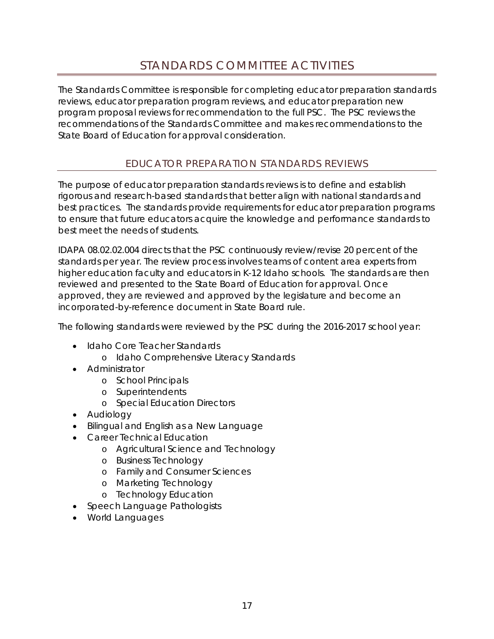<span id="page-16-0"></span>The Standards Committee is responsible for completing educator preparation standards reviews, educator preparation program reviews, and educator preparation new program proposal reviews for recommendation to the full PSC. The PSC reviews the recommendations of the Standards Committee and makes recommendations to the State Board of Education for approval consideration.

## EDUCATOR PREPARATION STANDARDS REVIEWS

<span id="page-16-1"></span>The purpose of educator preparation standards reviews is to define and establish rigorous and research-based standards that better align with national standards and best practices. The standards provide requirements for educator preparation programs to ensure that future educators acquire the knowledge and performance standards to best meet the needs of students.

IDAPA 08.02.02.004 directs that the PSC continuously review/revise 20 percent of the standards per year. The review process involves teams of content area experts from higher education faculty and educators in K-12 Idaho schools. The standards are then reviewed and presented to the State Board of Education for approval. Once approved, they are reviewed and approved by the legislature and become an incorporated-by-reference document in State Board rule.

The following standards were reviewed by the PSC during the 2016-2017 school year:

- Idaho Core Teacher Standards
	- o Idaho Comprehensive Literacy Standards
- Administrator
	- o School Principals
	- o Superintendents
	- o Special Education Directors
- Audiology
- Bilingual and English as a New Language
- Career Technical Education
	- o Agricultural Science and Technology
		- o Business Technology
		- o Family and Consumer Sciences
		- o Marketing Technology
		- o Technology Education
- Speech Language Pathologists
- World Languages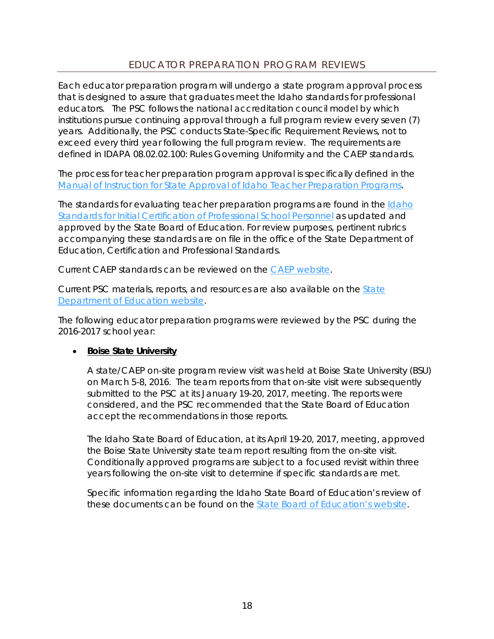## EDUCATOR PREPARATION PROGRAM REVIEWS

<span id="page-17-0"></span>Each educator preparation program will undergo a state program approval process that is designed to assure that graduates meet the Idaho standards for professional educators. The PSC follows the national accreditation council model by which institutions pursue continuing approval through a full program review every seven (7) years. Additionally, the PSC conducts State-Specific Requirement Reviews, not to exceed every third year following the full program review. The requirements are defined in IDAPA 08.02.02.100: Rules Governing Uniformity and the CAEP standards.

The process for teacher preparation program approval is specifically defined in the [Manual of Instruction for State Approval of Idaho Teacher Preparation Programs.](http://sde.idaho.gov/cert-psc/psc/standards/files/Manual-of-Instructions-for-Program-Approval-for-Certification.pdf)

The standards for evaluating teacher preparation programs are found in the [Idaho](http://sde.idaho.gov/cert-psc/psc/standards/files/standards-initial/Standards-for-Initial-Certification-for-Program-Reviews-after-July-1-2016.pdf)  [Standards for Initial Certification of Professional School Personnel](http://sde.idaho.gov/cert-psc/psc/standards/files/standards-initial/Standards-for-Initial-Certification-for-Program-Reviews-after-July-1-2016.pdf) as updated and approved by the State Board of Education. For review purposes, pertinent rubrics accompanying these standards are on file in the office of the State Department of Education, Certification and Professional Standards.

Current CAEP standards can be reviewed on the [CAEP website.](http://caepnet.org/)

Current PSC materials, reports, and resources are also available on the State Department of Education website.

The following educator preparation programs were reviewed by the PSC during the 2016-2017 school year:

#### • **Boise State University**

A state/CAEP on-site program review visit was held at Boise State University (BSU) on March 5-8, 2016. The team reports from that on-site visit were subsequently submitted to the PSC at its January 19-20, 2017, meeting. The reports were considered, and the PSC recommended that the State Board of Education accept the recommendations in those reports.

The Idaho State Board of Education, at its April 19-20, 2017, meeting, approved the Boise State University state team report resulting from the on-site visit. Conditionally approved programs are subject to a focused revisit within three years following the on-site visit to determine if specific standards are met.

Specific information regarding the Idaho State Board of Education's review of these documents can be found on the **State Board of Education's website**.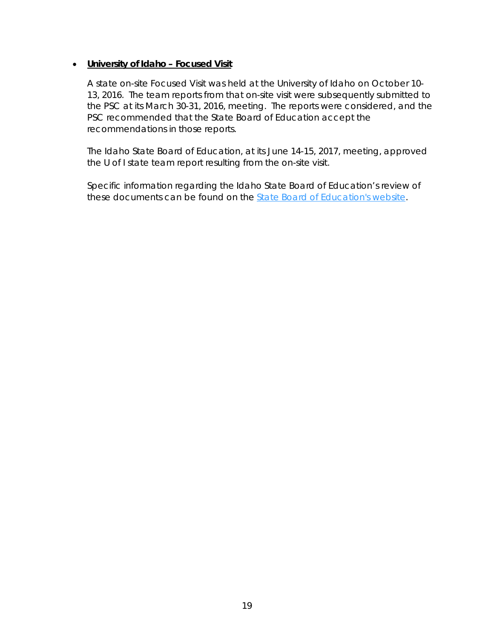#### • **University of Idaho – Focused Visit**

A state on-site Focused Visit was held at the University of Idaho on October 10- 13, 2016. The team reports from that on-site visit were subsequently submitted to the PSC at its March 30-31, 2016, meeting. The reports were considered, and the PSC recommended that the State Board of Education accept the recommendations in those reports.

The Idaho State Board of Education, at its June 14-15, 2017, meeting, approved the U of I state team report resulting from the on-site visit.

Specific information regarding the Idaho State Board of Education's review of these documents can be found on the [State Board of Education's website.](https://boardofed.idaho.gov/event/board-meeting-nic/)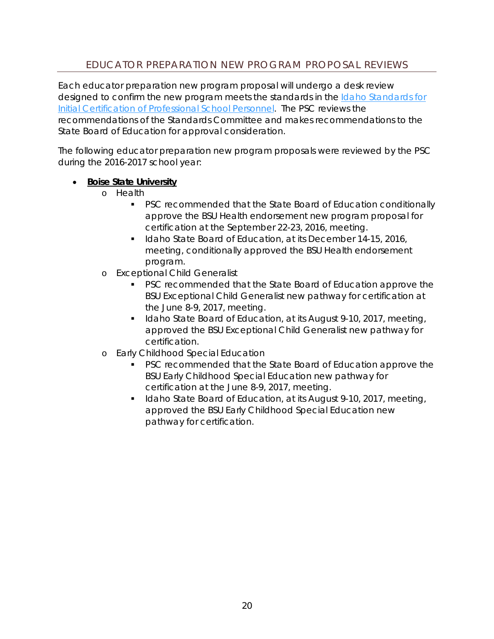## EDUCATOR PREPARATION NEW PROGRAM PROPOSAL REVIEWS

<span id="page-19-0"></span>Each educator preparation new program proposal will undergo a desk review designed to confirm the new program meets the standards in the Idaho Standards for [Initial Certification of Professional School Personnel.](http://sde.idaho.gov/cert-psc/psc/standards/files/standards-initial/Standards-for-Initial-Certification-for-Program-Reviews-after-July-1-2016.pdf) The PSC reviews the recommendations of the Standards Committee and makes recommendations to the State Board of Education for approval consideration.

The following educator preparation new program proposals were reviewed by the PSC during the 2016-2017 school year:

#### • **Boise State University**

- o Health
	- PSC recommended that the State Board of Education conditionally approve the BSU Health endorsement new program proposal for certification at the September 22-23, 2016, meeting.
	- Idaho State Board of Education, at its December 14-15, 2016, meeting, conditionally approved the BSU Health endorsement program.
- o Exceptional Child Generalist
	- PSC recommended that the State Board of Education approve the BSU Exceptional Child Generalist new pathway for certification at the June 8-9, 2017, meeting.
	- Idaho State Board of Education, at its August 9-10, 2017, meeting, approved the BSU Exceptional Child Generalist new pathway for certification.
- o Early Childhood Special Education
	- PSC recommended that the State Board of Education approve the BSU Early Childhood Special Education new pathway for certification at the June 8-9, 2017, meeting.
	- Idaho State Board of Education, at its August 9-10, 2017, meeting, approved the BSU Early Childhood Special Education new pathway for certification.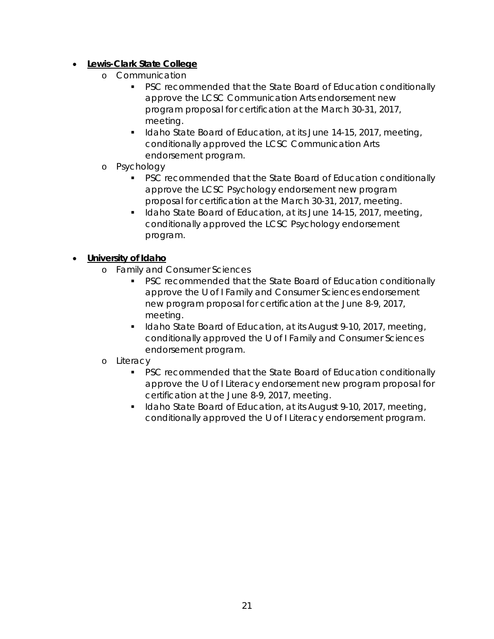## • **Lewis-Clark State College**

- o Communication
	- **PSC recommended that the State Board of Education conditionally** approve the LCSC Communication Arts endorsement new program proposal for certification at the March 30-31, 2017, meeting.
	- I Idaho State Board of Education, at its June 14-15, 2017, meeting, conditionally approved the LCSC Communication Arts endorsement program.
- o Psychology
	- **PSC recommended that the State Board of Education conditionally** approve the LCSC Psychology endorsement new program proposal for certification at the March 30-31, 2017, meeting.
	- I Idaho State Board of Education, at its June 14-15, 2017, meeting, conditionally approved the LCSC Psychology endorsement program.

## • **University of Idaho**

- o Family and Consumer Sciences
	- PSC recommended that the State Board of Education conditionally approve the U of I Family and Consumer Sciences endorsement new program proposal for certification at the June 8-9, 2017, meeting.
	- Idaho State Board of Education, at its August 9-10, 2017, meeting, conditionally approved the U of I Family and Consumer Sciences endorsement program.

#### o Literacy

- **PSC recommended that the State Board of Education conditionally** approve the U of I Literacy endorsement new program proposal for certification at the June 8-9, 2017, meeting.
- Idaho State Board of Education, at its August 9-10, 2017, meeting, conditionally approved the U of I Literacy endorsement program.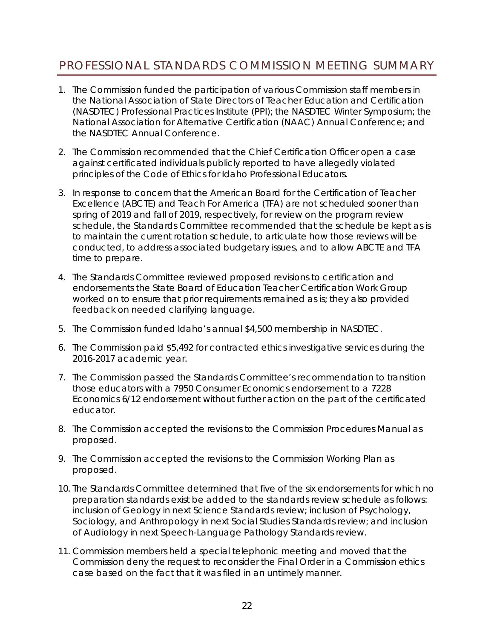# <span id="page-21-0"></span>PROFESSIONAL STANDARDS COMMISSION MEETING SUMMARY

- 1. The Commission funded the participation of various Commission staff members in the National Association of State Directors of Teacher Education and Certification (NASDTEC) Professional Practices Institute (PPI); the NASDTEC Winter Symposium; the National Association for Alternative Certification (NAAC) Annual Conference; and the NASDTEC Annual Conference.
- 2. The Commission recommended that the Chief Certification Officer open a case against certificated individuals publicly reported to have allegedly violated principles of the Code of Ethics for Idaho Professional Educators.
- 3. In response to concern that the American Board for the Certification of Teacher Excellence (ABCTE) and Teach For America (TFA) are not scheduled sooner than spring of 2019 and fall of 2019, respectively, for review on the program review schedule, the Standards Committee recommended that the schedule be kept as is to maintain the current rotation schedule, to articulate how those reviews will be conducted, to address associated budgetary issues, and to allow ABCTE and TFA time to prepare.
- 4. The Standards Committee reviewed proposed revisions to certification and endorsements the State Board of Education Teacher Certification Work Group worked on to ensure that prior requirements remained as is; they also provided feedback on needed clarifying language.
- 5. The Commission funded Idaho's annual \$4,500 membership in NASDTEC.
- 6. The Commission paid \$5,492 for contracted ethics investigative services during the 2016-2017 academic year.
- 7. The Commission passed the Standards Committee's recommendation to transition those educators with a 7950 Consumer Economics endorsement to a 7228 Economics 6/12 endorsement without further action on the part of the certificated educator.
- 8. The Commission accepted the revisions to the Commission Procedures Manual as proposed.
- 9. The Commission accepted the revisions to the Commission Working Plan as proposed.
- 10. The Standards Committee determined that five of the six endorsements for which no preparation standards exist be added to the standards review schedule as follows: inclusion of Geology in next Science Standards review; inclusion of Psychology, Sociology, and Anthropology in next Social Studies Standards review; and inclusion of Audiology in next Speech-Language Pathology Standards review.
- 11. Commission members held a special telephonic meeting and moved that the Commission deny the request to reconsider the Final Order in a Commission ethics case based on the fact that it was filed in an untimely manner.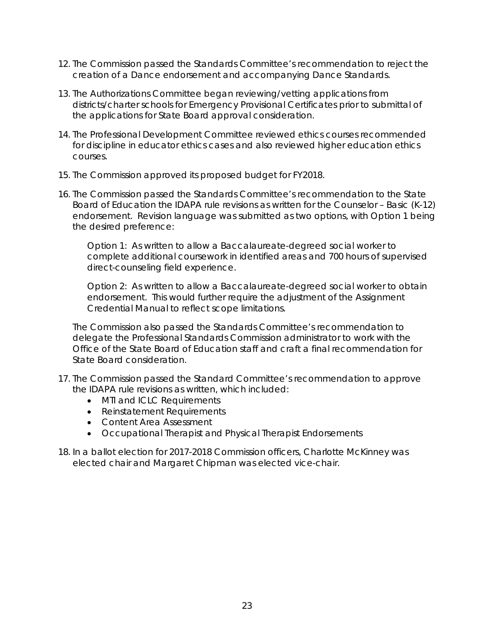- 12. The Commission passed the Standards Committee's recommendation to reject the creation of a Dance endorsement and accompanying Dance Standards.
- 13. The Authorizations Committee began reviewing/vetting applications from districts/charter schools for Emergency Provisional Certificates prior to submittal of the applications for State Board approval consideration.
- 14. The Professional Development Committee reviewed ethics courses recommended for discipline in educator ethics cases and also reviewed higher education ethics courses.
- 15. The Commission approved its proposed budget for FY2018.
- 16. The Commission passed the Standards Committee's recommendation to the State Board of Education the IDAPA rule revisions as written for the Counselor – Basic (K-12) endorsement. Revision language was submitted as two options, with Option 1 being the desired preference:

Option 1: As written to allow a Baccalaureate-degreed social worker to complete additional coursework in identified areas and 700 hours of supervised direct-counseling field experience.

Option 2: As written to allow a Baccalaureate-degreed social worker to obtain endorsement. This would further require the adjustment of the Assignment Credential Manual to reflect scope limitations.

The Commission also passed the Standards Committee's recommendation to delegate the Professional Standards Commission administrator to work with the Office of the State Board of Education staff and craft a final recommendation for State Board consideration.

- 17. The Commission passed the Standard Committee's recommendation to approve the IDAPA rule revisions as written, which included:
	- MTI and ICLC Requirements
	- Reinstatement Requirements
	- Content Area Assessment
	- Occupational Therapist and Physical Therapist Endorsements
- 18. In a ballot election for 2017-2018 Commission officers, Charlotte McKinney was elected chair and Margaret Chipman was elected vice-chair.